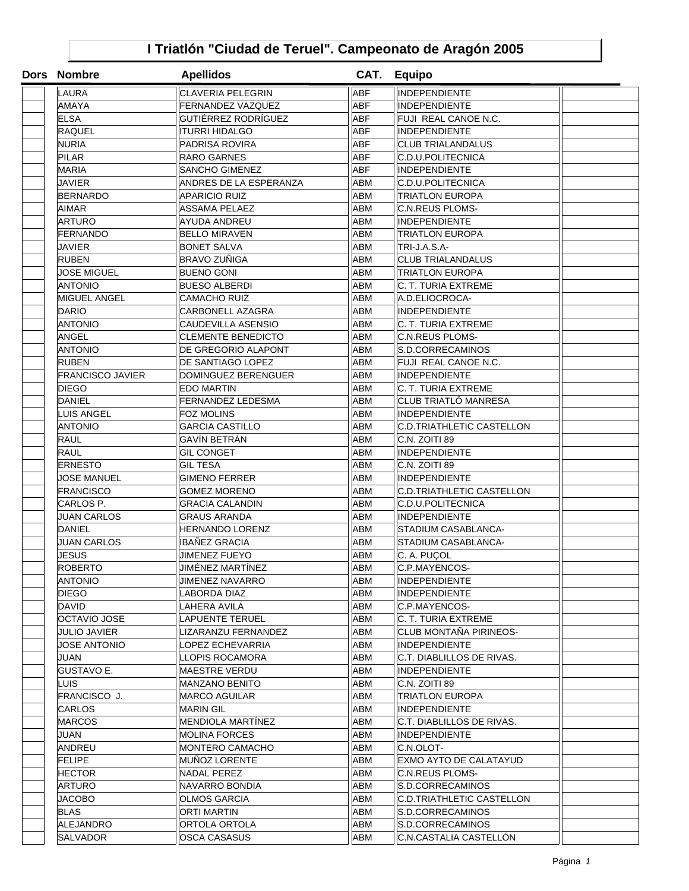## **I Triatlón "Ciudad de Teruel". Campeonato de Aragón 2005**

| Dors Nombre             | <b>Apellidos</b>           |            | CAT. Equipo                      |  |
|-------------------------|----------------------------|------------|----------------------------------|--|
| LAURA                   | <b>CLAVERIA PELEGRIN</b>   | <b>ABF</b> | INDEPENDIENTE                    |  |
| AMAYA                   | FERNANDEZ VAZQUEZ          | <b>ABF</b> | <b>INDEPENDIENTE</b>             |  |
| <b>ELSA</b>             | GUTIÉRREZ RODRÍGUEZ        | <b>ABF</b> | FUJI REAL CANOE N.C.             |  |
| <b>RAQUEL</b>           | <b>ITURRI HIDALGO</b>      | <b>ABF</b> | <b>INDEPENDIENTE</b>             |  |
| <b>NURIA</b>            | <b>PADRISA ROVIRA</b>      | <b>ABF</b> | <b>CLUB TRIALANDALUS</b>         |  |
| <b>PILAR</b>            | <b>RARO GARNES</b>         | <b>ABF</b> | C.D.U.POLITECNICA                |  |
| <b>MARIA</b>            | <b>SANCHO GIMENEZ</b>      | <b>ABF</b> | <b>INDEPENDIENTE</b>             |  |
| JAVIER                  | ANDRES DE LA ESPERANZA     | ABM        | C.D.U.POLITECNICA                |  |
| <b>BERNARDO</b>         | <b>APARICIO RUIZ</b>       | ABM        | <b>TRIATLON EUROPA</b>           |  |
| AIMAR                   | <b>ASSAMA PELAEZ</b>       | ABM        | C.N.REUS PLOMS-                  |  |
| <b>ARTURO</b>           | AYUDA ANDREU               | <b>ABM</b> | <b>INDEPENDIENTE</b>             |  |
| FERNANDO                | <b>BELLO MIRAVEN</b>       | <b>ABM</b> | TRIATLON EUROPA                  |  |
| JAVIER                  | <b>BONET SALVA</b>         | ABM        | TRI-J.A.S.A-                     |  |
| <b>RUBEN</b>            | BRAVO ZUÑIGA               | <b>ABM</b> | <b>CLUB TRIALANDALUS</b>         |  |
| <b>JOSE MIGUEL</b>      | <b>BUENO GONI</b>          | <b>ABM</b> | <b>TRIATLON EUROPA</b>           |  |
| <b>ANTONIO</b>          | <b>BUESO ALBERDI</b>       | <b>ABM</b> | C. T. TURIA EXTREME              |  |
| MIGUEL ANGEL            | <b>CAMACHO RUIZ</b>        | <b>ABM</b> | A.D.ELIOCROCA-                   |  |
| <b>DARIO</b>            | <b>CARBONELL AZAGRA</b>    | ABM        | <b>INDEPENDIENTE</b>             |  |
| <b>ANTONIO</b>          | <b>CAUDEVILLA ASENSIO</b>  | ABM        | C. T. TURIA EXTREME              |  |
| ANGEL                   | <b>CLEMENTE BENEDICTO</b>  | ABM        | <b>C.N.REUS PLOMS-</b>           |  |
| ANTONIO                 | DE GREGORIO ALAPONT        | <b>ABM</b> | S.D.CORRECAMINOS                 |  |
| <b>RUBEN</b>            | DE SANTIAGO LOPEZ          | <b>ABM</b> | FUJI REAL CANOE N.C.             |  |
| <b>FRANCISCO JAVIER</b> | <b>DOMINGUEZ BERENGUER</b> | ABM        | <b>INDEPENDIENTE</b>             |  |
| <b>DIEGO</b>            | <b>EDO MARTIN</b>          | <b>ABM</b> | C. T. TURIA EXTREME              |  |
| <b>DANIEL</b>           | <b>FERNANDEZ LEDESMA</b>   | <b>ABM</b> | CLUB TRIATLÓ MANRESA             |  |
| LUIS ANGEL              | <b>FOZ MOLINS</b>          | <b>ABM</b> | <b>INDEPENDIENTE</b>             |  |
| <b>ANTONIO</b>          | <b>GARCIA CASTILLO</b>     | <b>ABM</b> | <b>C.D.TRIATHLETIC CASTELLON</b> |  |
| <b>RAUL</b>             | GAVÍN BETRÁN               | ABM        | C.N. ZOITI 89                    |  |
| <b>RAUL</b>             | <b>GIL CONGET</b>          | ABM        | <b>INDEPENDIENTE</b>             |  |
| <b>ERNESTO</b>          | <b>GIL TESA</b>            | ABM        | C.N. ZOITI 89                    |  |
| <b>JOSE MANUEL</b>      | <b>GIMENO FERRER</b>       | <b>ABM</b> | <b>INDEPENDIENTE</b>             |  |
| <b>FRANCISCO</b>        | <b>GOMEZ MORENO</b>        | <b>ABM</b> | C.D.TRIATHLETIC CASTELLON        |  |
| CARLOS P.               | <b>GRACIA CALANDIN</b>     | <b>ABM</b> | C.D.U.POLITECNICA                |  |
| <b>JUAN CARLOS</b>      | <b>GRAUS ARANDA</b>        | <b>ABM</b> | <b>INDEPENDIENTE</b>             |  |
| <b>DANIEL</b>           | <b>HERNANDO LORENZ</b>     | <b>ABM</b> | STADIUM CASABLANCA-              |  |
| <b>JUAN CARLOS</b>      | IBAÑEZ GRACIA              | ABM        | STADIUM CASABLANCA-              |  |
| <b>JESUS</b>            | <b>JIMENEZ FUEYO</b>       | ABM        | C. A. PUÇOL                      |  |
| <b>ROBERTO</b>          | JIMÉNEZ MARTÍNEZ           | ABM        | C.P.MAYENCOS-                    |  |
| ANTONIO                 | JIMENEZ NAVARRO            | ABM        | <b>INDEPENDIENTE</b>             |  |
| DIEGO                   | LABORDA DIAZ               | ABM        | <b>INDEPENDIENTE</b>             |  |
| DAVID                   | LAHERA AVILA               | ABM        | C.P.MAYENCOS-                    |  |
| OCTAVIO JOSE            | LAPUENTE TERUEL            | ABM        | C. T. TURIA EXTREME              |  |
| JULIO JAVIER            | LIZARANZU FERNANDEZ        | <b>ABM</b> | <b>CLUB MONTANA PIRINEOS-</b>    |  |
| <b>JOSE ANTONIO</b>     | LOPEZ ECHEVARRIA           | <b>ABM</b> | <b>INDEPENDIENTE</b>             |  |
| JUAN                    | LLOPIS ROCAMORA            | <b>ABM</b> | C.T. DIABLILLOS DE RIVAS.        |  |
| GUSTAVO E.              | <b>MAESTRE VERDU</b>       | ABM        | <b>INDEPENDIENTE</b>             |  |
| LUISI                   | <b>MANZANO BENITO</b>      | ABM        | C.N. ZOITI 89                    |  |
| FRANCISCO J.            | <b>MARCO AGUILAR</b>       | ABM        | <b>TRIATLON EUROPA</b>           |  |
| <b>CARLOS</b>           | <b>MARIN GIL</b>           | ABM        | <b>INDEPENDIENTE</b>             |  |
| MARCOS                  | <b>MENDIOLA MARTINEZ</b>   | ABM        | C.T. DIABLILLOS DE RIVAS.        |  |
| JUAN                    | <b>MOLINA FORCES</b>       | ABM        | <b>INDEPENDIENTE</b>             |  |
| ANDREU                  | MONTERO CAMACHO            | ABM        | C.N.OLOT-                        |  |
| <b>FELIPE</b>           | <b>MUNOZ LORENTE</b>       | <b>ABM</b> | EXMO AYTO DE CALATAYUD           |  |
| <b>HECTOR</b>           | NADAL PEREZ                | <b>ABM</b> | C.N.REUS PLOMS-                  |  |
| ARTURO                  | NAVARRO BONDIA             | <b>ABM</b> | S.D.CORRECAMINOS                 |  |
| JACOBO                  | <b>OLMOS GARCIA</b>        | ABM        | <b>C.D.TRIATHLETIC CASTELLON</b> |  |
| BLAS                    | ORTI MARTIN                | ABM        | S.D.CORRECAMINOS                 |  |
| ALEJANDRO               | ORTOLA ORTOLA              | ABM        | S.D.CORRECAMINOS                 |  |
| SALVADOR                | OSCA CASASUS               | ABM        | C.N.CASTALIA CASTELLON           |  |